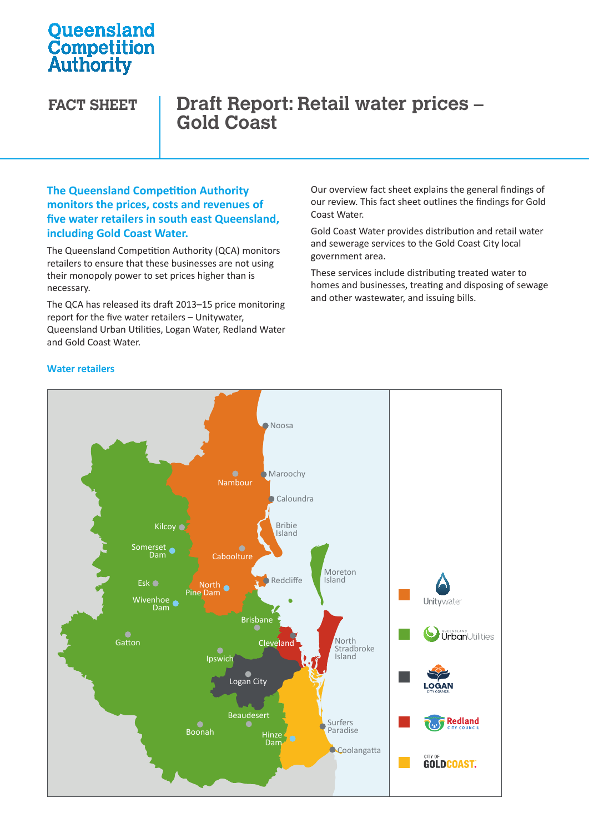# **Oueensland Competition**<br>Authority

## **FACT SHEET Draft Report: Retail water prices – Gold Coast**

### **The Queensland Competition Authority monitors the prices, costs and revenues of five water retailers in south east Queensland, including Gold Coast Water.**

The Queensland Competition Authority (QCA) monitors retailers to ensure that these businesses are not using their monopoly power to set prices higher than is necessary.

The QCA has released its draft 2013–15 price monitoring report for the five water retailers – Unitywater, Queensland Urban Utilities, Logan Water, Redland Water Urban Utilities Water Water and Gold Coast Water.

Our overview fact sheet explains the general findings of our review. This fact sheet outlines the findings for Gold Coast Water.

Gold Coast Water provides distribution and retail water and sewerage services to the Gold Coast City local government area.

These services include distributing treated water to homes and businesses, treating and disposing of sewage and other wastewater, and issuing bills.



#### **Water retailers**